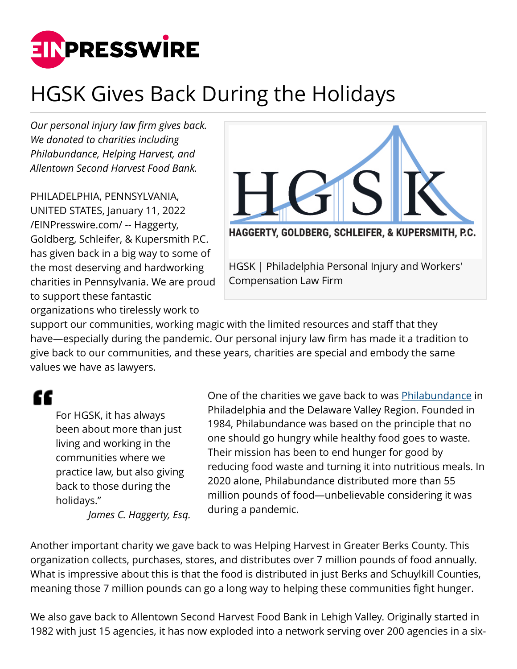

## HGSK Gives Back During the Holidays

*Our personal injury law firm gives back. We donated to charities including Philabundance, Helping Harvest, and Allentown Second Harvest Food Bank.*

PHILADELPHIA, PENNSYLVANIA, UNITED STATES, January 11, 2022 [/EINPresswire.com/](http://www.einpresswire.com) -- Haggerty, Goldberg, Schleifer, & Kupersmith P.C. has given back in a big way to some of the most deserving and hardworking charities in Pennsylvania. We are proud to support these fantastic organizations who tirelessly work to



support our communities, working magic with the limited resources and staff that they have—especially during the pandemic. Our personal injury law firm has made it a tradition to give back to our communities, and these years, charities are special and embody the same values we have as lawyers.

## ££

For HGSK, it has always been about more than just living and working in the communities where we practice law, but also giving back to those during the holidays."

*James C. Haggerty, Esq.*

One of the charities we gave back to was **Philabundance** in Philadelphia and the Delaware Valley Region. Founded in 1984, Philabundance was based on the principle that no one should go hungry while healthy food goes to waste. Their mission has been to end hunger for good by reducing food waste and turning it into nutritious meals. In 2020 alone, Philabundance distributed more than 55 million pounds of food—unbelievable considering it was during a pandemic.

Another important charity we gave back to was Helping Harvest in Greater Berks County. This organization collects, purchases, stores, and distributes over 7 million pounds of food annually. What is impressive about this is that the food is distributed in just Berks and Schuylkill Counties, meaning those 7 million pounds can go a long way to helping these communities fight hunger.

We also gave back to Allentown Second Harvest Food Bank in Lehigh Valley. Originally started in 1982 with just 15 agencies, it has now exploded into a network serving over 200 agencies in a six